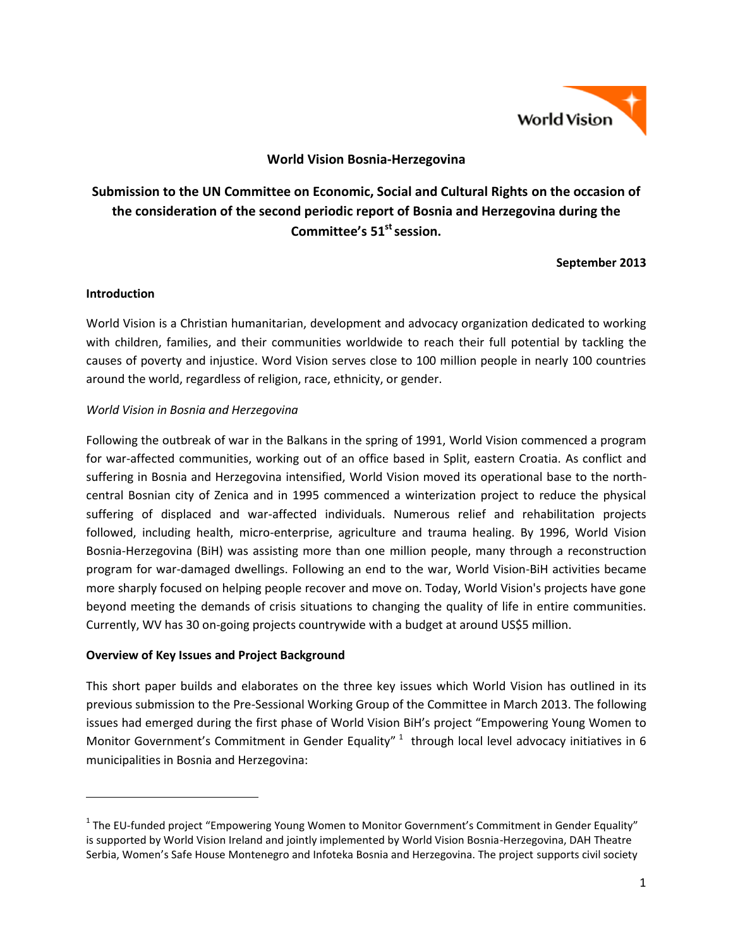

### **World Vision Bosnia-Herzegovina**

# **Submission to the UN Committee on Economic, Social and Cultural Rights on the occasion of the consideration of the second periodic report of Bosnia and Herzegovina during the Committee's 51st session.**

**September 2013**

#### **Introduction**

 $\overline{a}$ 

World Vision is a Christian humanitarian, development and advocacy organization dedicated to working with children, families, and their communities worldwide to reach their full potential by tackling the causes of poverty and injustice. Word Vision serves close to 100 million people in nearly 100 countries around the world, regardless of religion, race, ethnicity, or gender.

#### *World Vision in Bosnia and Herzegovina*

Following the outbreak of war in the Balkans in the spring of 1991, World Vision commenced a program for war-affected communities, working out of an office based in Split, eastern Croatia. As conflict and suffering in Bosnia and Herzegovina intensified, World Vision moved its operational base to the northcentral Bosnian city of Zenica and in 1995 commenced a winterization project to reduce the physical suffering of displaced and war-affected individuals. Numerous relief and rehabilitation projects followed, including health, micro-enterprise, agriculture and trauma healing. By 1996, World Vision Bosnia-Herzegovina (BiH) was assisting more than one million people, many through a reconstruction program for war-damaged dwellings. Following an end to the war, World Vision-BiH activities became more sharply focused on helping people recover and move on. Today, World Vision's projects have gone beyond meeting the demands of crisis situations to changing the quality of life in entire communities. Currently, WV has 30 on-going projects countrywide with a budget at around US\$5 million.

#### **Overview of Key Issues and Project Background**

This short paper builds and elaborates on the three key issues which World Vision has outlined in its previous submission to the Pre-Sessional Working Group of the Committee in March 2013. The following issues had emerged during the first phase of World Vision BiH's project "Empowering Young Women to Monitor Government's Commitment in Gender Equality"  $1$  through local level advocacy initiatives in 6 municipalities in Bosnia and Herzegovina:

<sup>&</sup>lt;sup>1</sup> The EU-funded project "Empowering Young Women to Monitor Government's Commitment in Gender Equality" is supported by World Vision Ireland and jointly implemented by World Vision Bosnia-Herzegovina, DAH Theatre Serbia, Women's Safe House Montenegro and Infoteka Bosnia and Herzegovina. The project supports civil society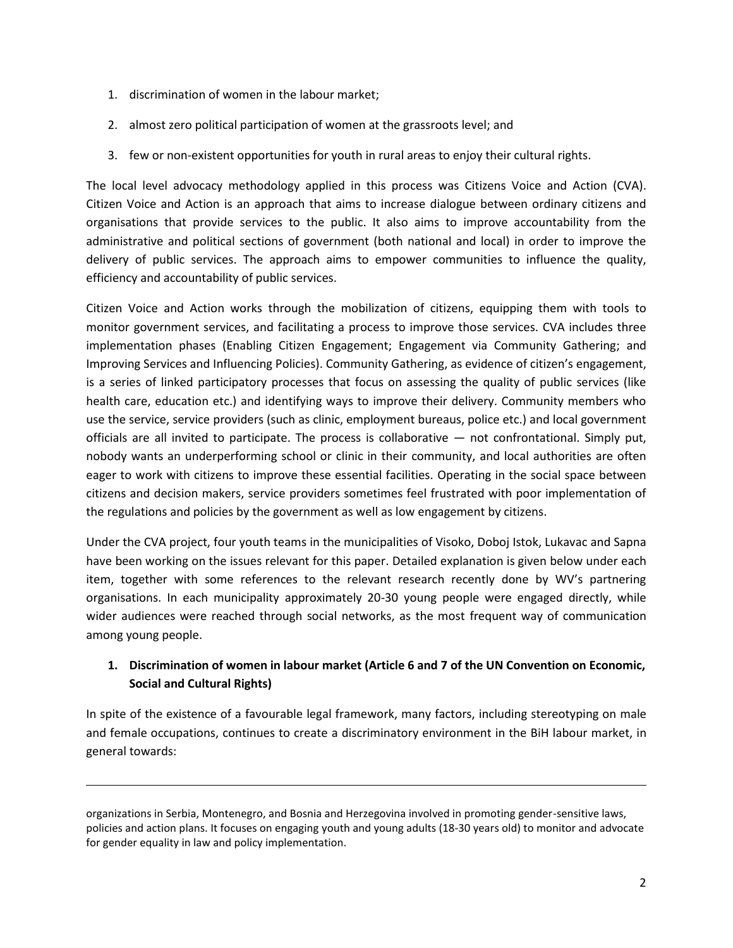- 1. discrimination of women in the labour market;
- 2. almost zero political participation of women at the grassroots level; and
- 3. few or non-existent opportunities for youth in rural areas to enjoy their cultural rights.

The local level advocacy methodology applied in this process was Citizens Voice and Action (CVA). Citizen Voice and Action is an approach that aims to increase dialogue between ordinary citizens and organisations that provide services to the public. It also aims to improve accountability from the administrative and political sections of government (both national and local) in order to improve the delivery of public services. The approach aims to empower communities to influence the quality, efficiency and accountability of public services.

Citizen Voice and Action works through the mobilization of citizens, equipping them with tools to monitor government services, and facilitating a process to improve those services. CVA includes three implementation phases (Enabling Citizen Engagement; Engagement via Community Gathering; and Improving Services and Influencing Policies). Community Gathering, as evidence of citizen's engagement, is a series of linked participatory processes that focus on assessing the quality of public services (like health care, education etc.) and identifying ways to improve their delivery. Community members who use the service, service providers (such as clinic, employment bureaus, police etc.) and local government officials are all invited to participate. The process is collaborative  $-$  not confrontational. Simply put, nobody wants an underperforming school or clinic in their community, and local authorities are often eager to work with citizens to improve these essential facilities. Operating in the social space between citizens and decision makers, service providers sometimes feel frustrated with poor implementation of the regulations and policies by the government as well as low engagement by citizens.

Under the CVA project, four youth teams in the municipalities of Visoko, Doboj Istok, Lukavac and Sapna have been working on the issues relevant for this paper. Detailed explanation is given below under each item, together with some references to the relevant research recently done by WV's partnering organisations. In each municipality approximately 20-30 young people were engaged directly, while wider audiences were reached through social networks, as the most frequent way of communication among young people.

## **1. Discrimination of women in labour market (Article 6 and 7 of the UN Convention on Economic, Social and Cultural Rights)**

In spite of the existence of a favourable legal framework, many factors, including stereotyping on male and female occupations, continues to create a discriminatory environment in the BiH labour market, in general towards:

 $\overline{a}$ 

organizations in Serbia, Montenegro, and Bosnia and Herzegovina involved in promoting gender-sensitive laws, policies and action plans. It focuses on engaging youth and young adults (18-30 years old) to monitor and advocate for gender equality in law and policy implementation.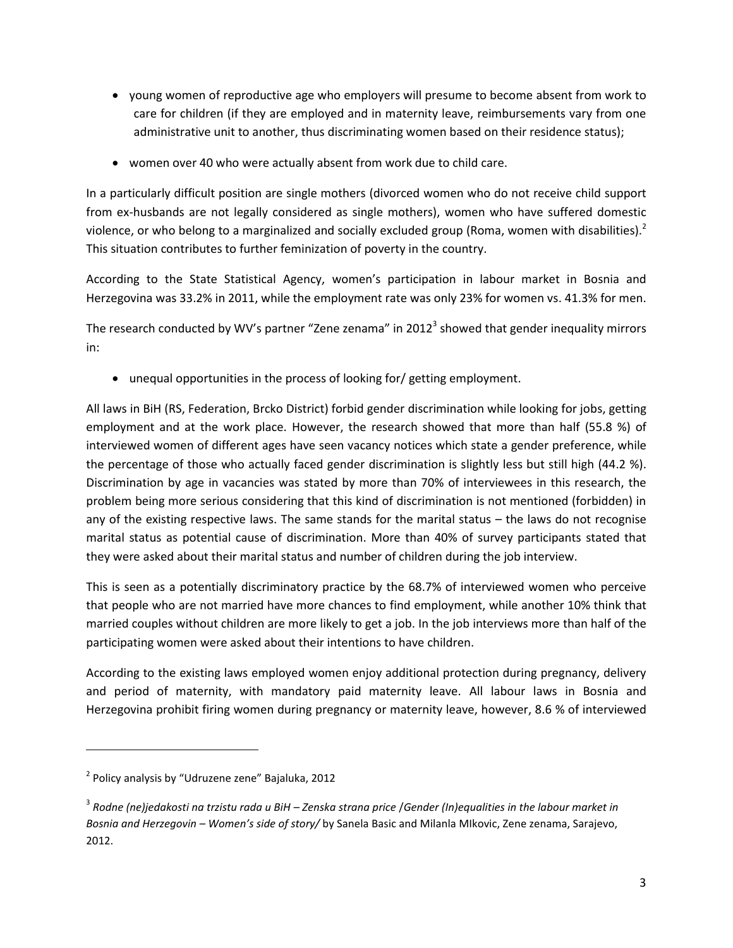- young women of reproductive age who employers will presume to become absent from work to care for children (if they are employed and in maternity leave, reimbursements vary from one administrative unit to another, thus discriminating women based on their residence status);
- women over 40 who were actually absent from work due to child care.

In a particularly difficult position are single mothers (divorced women who do not receive child support from ex-husbands are not legally considered as single mothers), women who have suffered domestic violence, or who belong to a marginalized and socially excluded group (Roma, women with disabilities).<sup>2</sup> This situation contributes to further feminization of poverty in the country.

According to the State Statistical Agency, women's participation in labour market in Bosnia and Herzegovina was 33.2% in 2011, while the employment rate was only 23% for women vs. 41.3% for men.

The research conducted by WV's partner "Zene zenama" in 2012<sup>3</sup> showed that gender inequality mirrors in:

unequal opportunities in the process of looking for/ getting employment.

All laws in BiH (RS, Federation, Brcko District) forbid gender discrimination while looking for jobs, getting employment and at the work place. However, the research showed that more than half (55.8 %) of interviewed women of different ages have seen vacancy notices which state a gender preference, while the percentage of those who actually faced gender discrimination is slightly less but still high (44.2 %). Discrimination by age in vacancies was stated by more than 70% of interviewees in this research, the problem being more serious considering that this kind of discrimination is not mentioned (forbidden) in any of the existing respective laws. The same stands for the marital status – the laws do not recognise marital status as potential cause of discrimination. More than 40% of survey participants stated that they were asked about their marital status and number of children during the job interview.

This is seen as a potentially discriminatory practice by the 68.7% of interviewed women who perceive that people who are not married have more chances to find employment, while another 10% think that married couples without children are more likely to get a job. In the job interviews more than half of the participating women were asked about their intentions to have children.

According to the existing laws employed women enjoy additional protection during pregnancy, delivery and period of maternity, with mandatory paid maternity leave. All labour laws in Bosnia and Herzegovina prohibit firing women during pregnancy or maternity leave, however, 8.6 % of interviewed

l

<sup>2</sup> Policy analysis by "Udruzene zene" Bajaluka, 2012

<sup>3</sup> *Rodne (ne)jedakosti na trzistu rada u BiH – Zenska strana price* /*Gender (In)equalities in the labour market in Bosnia and Herzegovin – Women's side of story/* by Sanela Basic and Milanla MIkovic, Zene zenama, Sarajevo, 2012.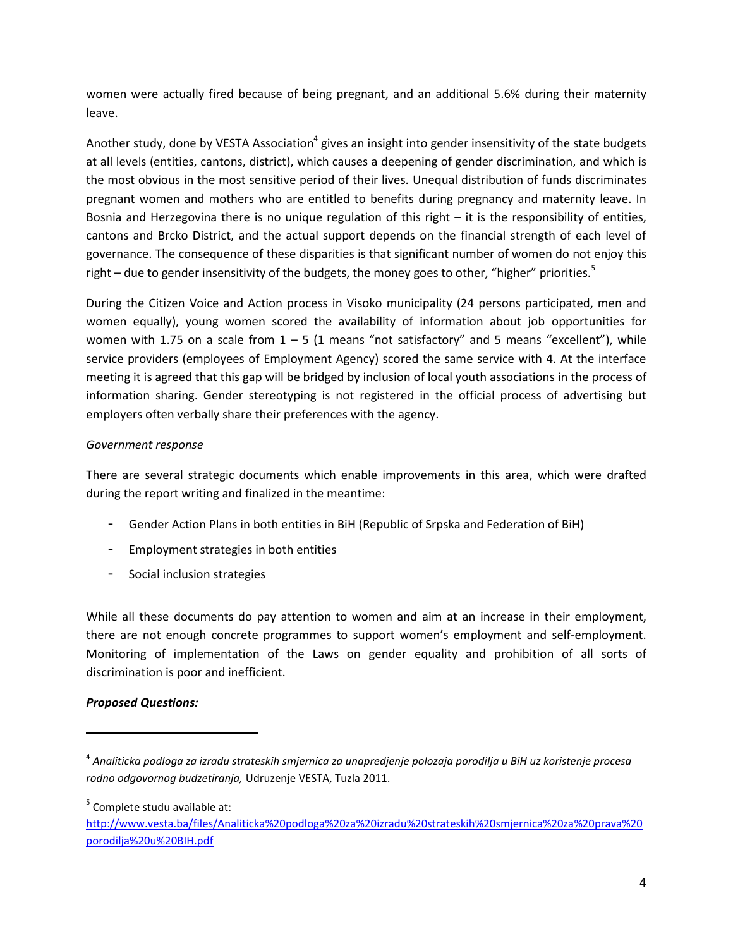women were actually fired because of being pregnant, and an additional 5.6% during their maternity leave.

Another study, done by VESTA Association<sup>4</sup> gives an insight into gender insensitivity of the state budgets at all levels (entities, cantons, district), which causes a deepening of gender discrimination, and which is the most obvious in the most sensitive period of their lives. Unequal distribution of funds discriminates pregnant women and mothers who are entitled to benefits during pregnancy and maternity leave. In Bosnia and Herzegovina there is no unique regulation of this right – it is the responsibility of entities, cantons and Brcko District, and the actual support depends on the financial strength of each level of governance. The consequence of these disparities is that significant number of women do not enjoy this right – due to gender insensitivity of the budgets, the money goes to other, "higher" priorities.<sup>5</sup>

During the Citizen Voice and Action process in Visoko municipality (24 persons participated, men and women equally), young women scored the availability of information about job opportunities for women with 1.75 on a scale from  $1 - 5$  (1 means "not satisfactory" and 5 means "excellent"), while service providers (employees of Employment Agency) scored the same service with 4. At the interface meeting it is agreed that this gap will be bridged by inclusion of local youth associations in the process of information sharing. Gender stereotyping is not registered in the official process of advertising but employers often verbally share their preferences with the agency.

#### *Government response*

There are several strategic documents which enable improvements in this area, which were drafted during the report writing and finalized in the meantime:

- Gender Action Plans in both entities in BiH (Republic of Srpska and Federation of BiH)
- Employment strategies in both entities
- Social inclusion strategies

While all these documents do pay attention to women and aim at an increase in their employment, there are not enough concrete programmes to support women's employment and self-employment. Monitoring of implementation of the Laws on gender equality and prohibition of all sorts of discrimination is poor and inefficient.

### *Proposed Questions:*

 $\overline{\phantom{a}}$ 

<sup>5</sup> Complete studu available at:

[http://www.vesta.ba/files/Analiticka%20podloga%20za%20izradu%20strateskih%20smjernica%20za%20prava%20](http://www.vesta.ba/files/Analiticka%20podloga%20za%20izradu%20strateskih%20smjernica%20za%20prava%20porodilja%20u%20BIH.pdf) [porodilja%20u%20BIH.pdf](http://www.vesta.ba/files/Analiticka%20podloga%20za%20izradu%20strateskih%20smjernica%20za%20prava%20porodilja%20u%20BIH.pdf)

<sup>4</sup> *Analiticka podloga za izradu strateskih smjernica za unapredjenje polozaja porodilja u BiH uz koristenje procesa rodno odgovornog budzetiranja,* Udruzenje VESTA, Tuzla 2011.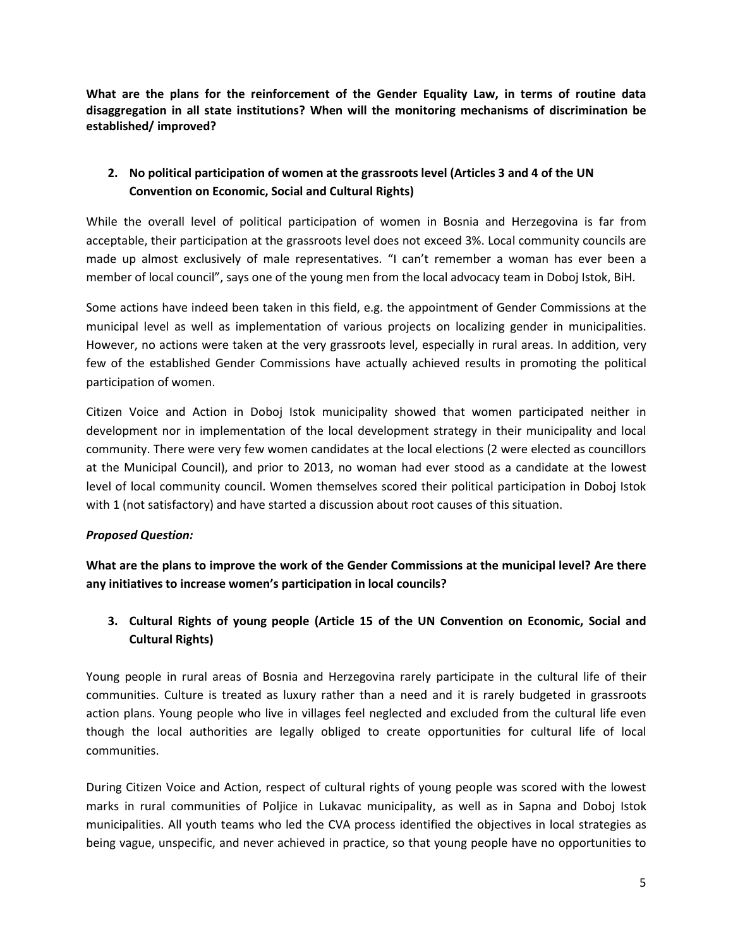**What are the plans for the reinforcement of the Gender Equality Law, in terms of routine data disaggregation in all state institutions? When will the monitoring mechanisms of discrimination be established/ improved?**

## **2. No political participation of women at the grassroots level (Articles 3 and 4 of the UN Convention on Economic, Social and Cultural Rights)**

While the overall level of political participation of women in Bosnia and Herzegovina is far from acceptable, their participation at the grassroots level does not exceed 3%. Local community councils are made up almost exclusively of male representatives. "I can't remember a woman has ever been a member of local council", says one of the young men from the local advocacy team in Doboj Istok, BiH.

Some actions have indeed been taken in this field, e.g. the appointment of Gender Commissions at the municipal level as well as implementation of various projects on localizing gender in municipalities. However, no actions were taken at the very grassroots level, especially in rural areas. In addition, very few of the established Gender Commissions have actually achieved results in promoting the political participation of women.

Citizen Voice and Action in Doboj Istok municipality showed that women participated neither in development nor in implementation of the local development strategy in their municipality and local community. There were very few women candidates at the local elections (2 were elected as councillors at the Municipal Council), and prior to 2013, no woman had ever stood as a candidate at the lowest level of local community council. Women themselves scored their political participation in Doboj Istok with 1 (not satisfactory) and have started a discussion about root causes of this situation.

### *Proposed Question:*

**What are the plans to improve the work of the Gender Commissions at the municipal level? Are there any initiatives to increase women's participation in local councils?**

## **3. Cultural Rights of young people (Article 15 of the UN Convention on Economic, Social and Cultural Rights)**

Young people in rural areas of Bosnia and Herzegovina rarely participate in the cultural life of their communities. Culture is treated as luxury rather than a need and it is rarely budgeted in grassroots action plans. Young people who live in villages feel neglected and excluded from the cultural life even though the local authorities are legally obliged to create opportunities for cultural life of local communities.

During Citizen Voice and Action, respect of cultural rights of young people was scored with the lowest marks in rural communities of Poljice in Lukavac municipality, as well as in Sapna and Doboj Istok municipalities. All youth teams who led the CVA process identified the objectives in local strategies as being vague, unspecific, and never achieved in practice, so that young people have no opportunities to